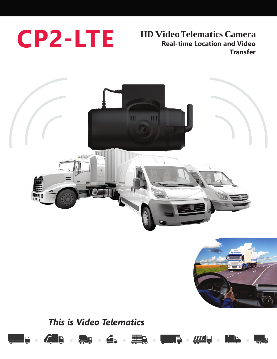

## **HD Video Telematics Camera Real-time Location and Video Transfer**





# *This is Video Telematics*